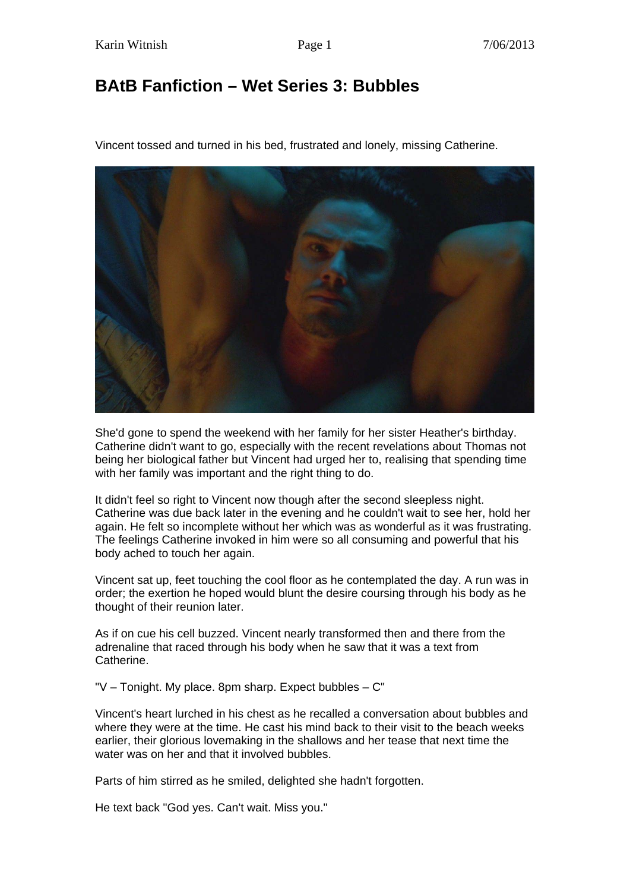## **BAtB Fanfiction – Wet Series 3: Bubbles**

Vincent tossed and turned in his bed, frustrated and lonely, missing Catherine.



She'd gone to spend the weekend with her family for her sister Heather's birthday. Catherine didn't want to go, especially with the recent revelations about Thomas not being her biological father but Vincent had urged her to, realising that spending time with her family was important and the right thing to do.

It didn't feel so right to Vincent now though after the second sleepless night. Catherine was due back later in the evening and he couldn't wait to see her, hold her again. He felt so incomplete without her which was as wonderful as it was frustrating. The feelings Catherine invoked in him were so all consuming and powerful that his body ached to touch her again.

Vincent sat up, feet touching the cool floor as he contemplated the day. A run was in order; the exertion he hoped would blunt the desire coursing through his body as he thought of their reunion later.

As if on cue his cell buzzed. Vincent nearly transformed then and there from the adrenaline that raced through his body when he saw that it was a text from Catherine.

"V – Tonight. My place. 8pm sharp. Expect bubbles – C"

Vincent's heart lurched in his chest as he recalled a conversation about bubbles and where they were at the time. He cast his mind back to their visit to the beach weeks earlier, their glorious lovemaking in the shallows and her tease that next time the water was on her and that it involved bubbles.

Parts of him stirred as he smiled, delighted she hadn't forgotten.

He text back "God yes. Can't wait. Miss you."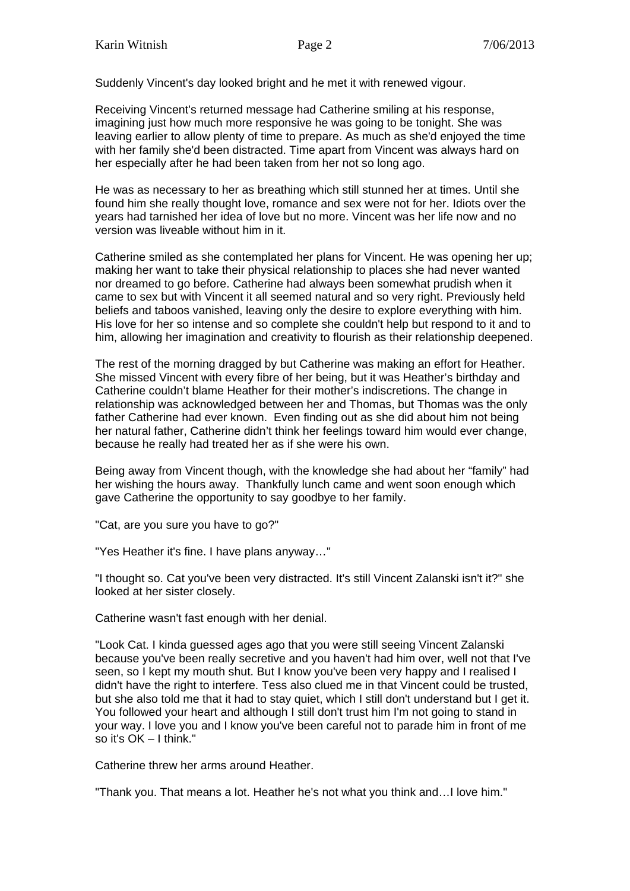Suddenly Vincent's day looked bright and he met it with renewed vigour.

Receiving Vincent's returned message had Catherine smiling at his response, imagining just how much more responsive he was going to be tonight. She was leaving earlier to allow plenty of time to prepare. As much as she'd enjoyed the time with her family she'd been distracted. Time apart from Vincent was always hard on her especially after he had been taken from her not so long ago.

He was as necessary to her as breathing which still stunned her at times. Until she found him she really thought love, romance and sex were not for her. Idiots over the years had tarnished her idea of love but no more. Vincent was her life now and no version was liveable without him in it.

Catherine smiled as she contemplated her plans for Vincent. He was opening her up; making her want to take their physical relationship to places she had never wanted nor dreamed to go before. Catherine had always been somewhat prudish when it came to sex but with Vincent it all seemed natural and so very right. Previously held beliefs and taboos vanished, leaving only the desire to explore everything with him. His love for her so intense and so complete she couldn't help but respond to it and to him, allowing her imagination and creativity to flourish as their relationship deepened.

The rest of the morning dragged by but Catherine was making an effort for Heather. She missed Vincent with every fibre of her being, but it was Heather's birthday and Catherine couldn't blame Heather for their mother's indiscretions. The change in relationship was acknowledged between her and Thomas, but Thomas was the only father Catherine had ever known. Even finding out as she did about him not being her natural father, Catherine didn't think her feelings toward him would ever change, because he really had treated her as if she were his own.

Being away from Vincent though, with the knowledge she had about her "family" had her wishing the hours away. Thankfully lunch came and went soon enough which gave Catherine the opportunity to say goodbye to her family.

"Cat, are you sure you have to go?"

"Yes Heather it's fine. I have plans anyway…"

"I thought so. Cat you've been very distracted. It's still Vincent Zalanski isn't it?" she looked at her sister closely.

Catherine wasn't fast enough with her denial.

"Look Cat. I kinda guessed ages ago that you were still seeing Vincent Zalanski because you've been really secretive and you haven't had him over, well not that I've seen, so I kept my mouth shut. But I know you've been very happy and I realised I didn't have the right to interfere. Tess also clued me in that Vincent could be trusted, but she also told me that it had to stay quiet, which I still don't understand but I get it. You followed your heart and although I still don't trust him I'm not going to stand in your way. I love you and I know you've been careful not to parade him in front of me so it's OK – I think."

Catherine threw her arms around Heather.

"Thank you. That means a lot. Heather he's not what you think and…I love him."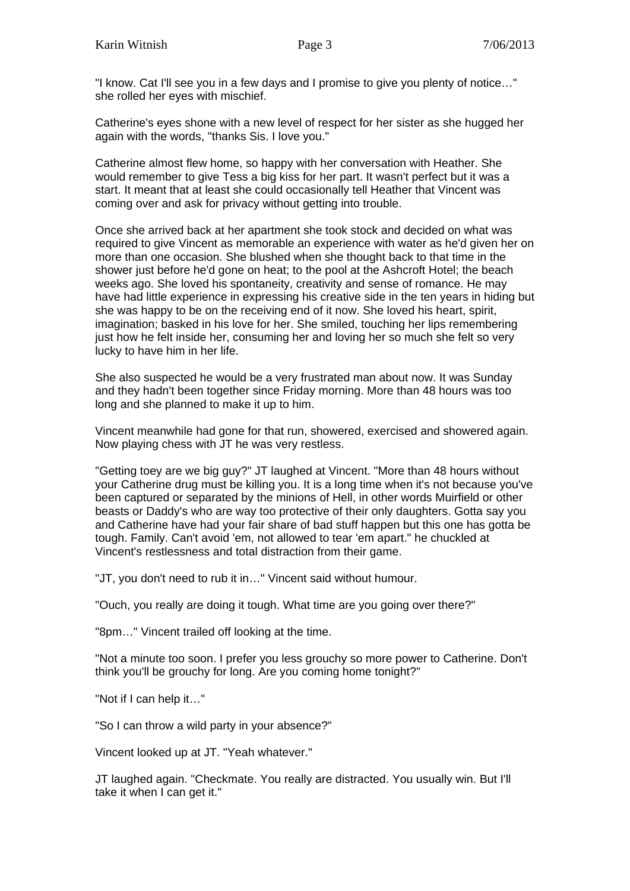"I know. Cat I'll see you in a few days and I promise to give you plenty of notice…" she rolled her eyes with mischief.

Catherine's eyes shone with a new level of respect for her sister as she hugged her again with the words, "thanks Sis. I love you."

Catherine almost flew home, so happy with her conversation with Heather. She would remember to give Tess a big kiss for her part. It wasn't perfect but it was a start. It meant that at least she could occasionally tell Heather that Vincent was coming over and ask for privacy without getting into trouble.

Once she arrived back at her apartment she took stock and decided on what was required to give Vincent as memorable an experience with water as he'd given her on more than one occasion. She blushed when she thought back to that time in the shower just before he'd gone on heat; to the pool at the Ashcroft Hotel; the beach weeks ago. She loved his spontaneity, creativity and sense of romance. He may have had little experience in expressing his creative side in the ten years in hiding but she was happy to be on the receiving end of it now. She loved his heart, spirit, imagination; basked in his love for her. She smiled, touching her lips remembering just how he felt inside her, consuming her and loving her so much she felt so very lucky to have him in her life.

She also suspected he would be a very frustrated man about now. It was Sunday and they hadn't been together since Friday morning. More than 48 hours was too long and she planned to make it up to him.

Vincent meanwhile had gone for that run, showered, exercised and showered again. Now playing chess with JT he was very restless.

"Getting toey are we big guy?" JT laughed at Vincent. "More than 48 hours without your Catherine drug must be killing you. It is a long time when it's not because you've been captured or separated by the minions of Hell, in other words Muirfield or other beasts or Daddy's who are way too protective of their only daughters. Gotta say you and Catherine have had your fair share of bad stuff happen but this one has gotta be tough. Family. Can't avoid 'em, not allowed to tear 'em apart." he chuckled at Vincent's restlessness and total distraction from their game.

"JT, you don't need to rub it in…" Vincent said without humour.

"Ouch, you really are doing it tough. What time are you going over there?"

"8pm…" Vincent trailed off looking at the time.

"Not a minute too soon. I prefer you less grouchy so more power to Catherine. Don't think you'll be grouchy for long. Are you coming home tonight?"

"Not if I can help it…"

"So I can throw a wild party in your absence?"

Vincent looked up at JT. "Yeah whatever."

JT laughed again. "Checkmate. You really are distracted. You usually win. But I'll take it when I can get it."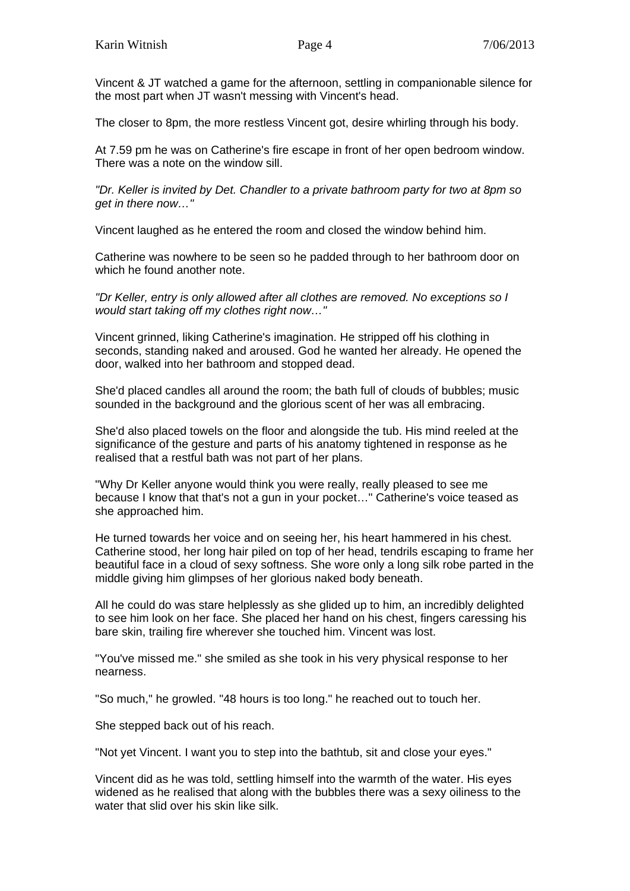Vincent & JT watched a game for the afternoon, settling in companionable silence for the most part when JT wasn't messing with Vincent's head.

The closer to 8pm, the more restless Vincent got, desire whirling through his body.

At 7.59 pm he was on Catherine's fire escape in front of her open bedroom window. There was a note on the window sill.

*"Dr. Keller is invited by Det. Chandler to a private bathroom party for two at 8pm so get in there now…"* 

Vincent laughed as he entered the room and closed the window behind him.

Catherine was nowhere to be seen so he padded through to her bathroom door on which he found another note.

*"Dr Keller, entry is only allowed after all clothes are removed. No exceptions so I would start taking off my clothes right now…"*

Vincent grinned, liking Catherine's imagination. He stripped off his clothing in seconds, standing naked and aroused. God he wanted her already. He opened the door, walked into her bathroom and stopped dead.

She'd placed candles all around the room; the bath full of clouds of bubbles; music sounded in the background and the glorious scent of her was all embracing.

She'd also placed towels on the floor and alongside the tub. His mind reeled at the significance of the gesture and parts of his anatomy tightened in response as he realised that a restful bath was not part of her plans.

"Why Dr Keller anyone would think you were really, really pleased to see me because I know that that's not a gun in your pocket…" Catherine's voice teased as she approached him.

He turned towards her voice and on seeing her, his heart hammered in his chest. Catherine stood, her long hair piled on top of her head, tendrils escaping to frame her beautiful face in a cloud of sexy softness. She wore only a long silk robe parted in the middle giving him glimpses of her glorious naked body beneath.

All he could do was stare helplessly as she glided up to him, an incredibly delighted to see him look on her face. She placed her hand on his chest, fingers caressing his bare skin, trailing fire wherever she touched him. Vincent was lost.

"You've missed me." she smiled as she took in his very physical response to her nearness.

"So much," he growled. "48 hours is too long." he reached out to touch her.

She stepped back out of his reach.

"Not yet Vincent. I want you to step into the bathtub, sit and close your eyes."

Vincent did as he was told, settling himself into the warmth of the water. His eyes widened as he realised that along with the bubbles there was a sexy oiliness to the water that slid over his skin like silk.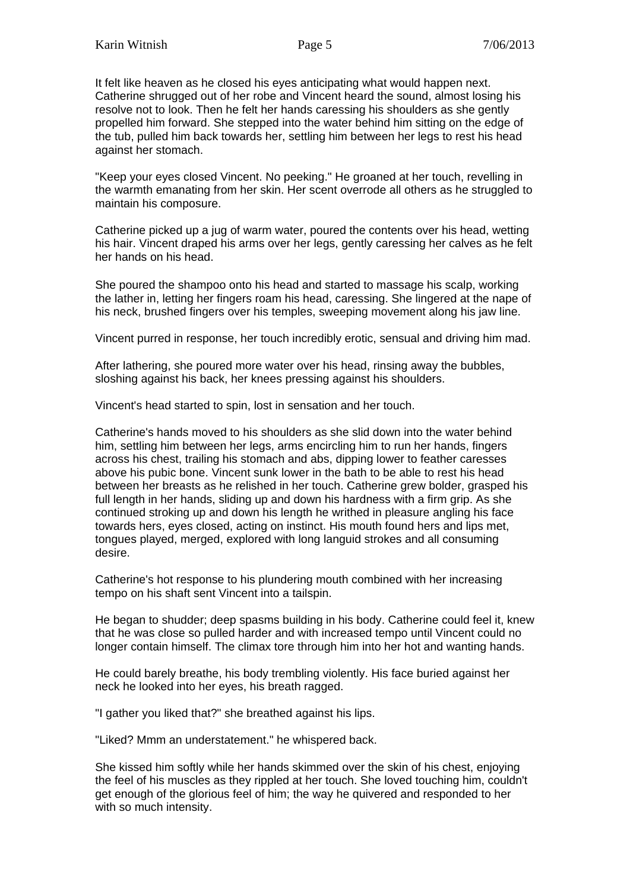It felt like heaven as he closed his eyes anticipating what would happen next. Catherine shrugged out of her robe and Vincent heard the sound, almost losing his resolve not to look. Then he felt her hands caressing his shoulders as she gently propelled him forward. She stepped into the water behind him sitting on the edge of the tub, pulled him back towards her, settling him between her legs to rest his head against her stomach.

"Keep your eyes closed Vincent. No peeking." He groaned at her touch, revelling in the warmth emanating from her skin. Her scent overrode all others as he struggled to maintain his composure.

Catherine picked up a jug of warm water, poured the contents over his head, wetting his hair. Vincent draped his arms over her legs, gently caressing her calves as he felt her hands on his head.

She poured the shampoo onto his head and started to massage his scalp, working the lather in, letting her fingers roam his head, caressing. She lingered at the nape of his neck, brushed fingers over his temples, sweeping movement along his jaw line.

Vincent purred in response, her touch incredibly erotic, sensual and driving him mad.

After lathering, she poured more water over his head, rinsing away the bubbles, sloshing against his back, her knees pressing against his shoulders.

Vincent's head started to spin, lost in sensation and her touch.

Catherine's hands moved to his shoulders as she slid down into the water behind him, settling him between her legs, arms encircling him to run her hands, fingers across his chest, trailing his stomach and abs, dipping lower to feather caresses above his pubic bone. Vincent sunk lower in the bath to be able to rest his head between her breasts as he relished in her touch. Catherine grew bolder, grasped his full length in her hands, sliding up and down his hardness with a firm grip. As she continued stroking up and down his length he writhed in pleasure angling his face towards hers, eyes closed, acting on instinct. His mouth found hers and lips met, tongues played, merged, explored with long languid strokes and all consuming desire.

Catherine's hot response to his plundering mouth combined with her increasing tempo on his shaft sent Vincent into a tailspin.

He began to shudder; deep spasms building in his body. Catherine could feel it, knew that he was close so pulled harder and with increased tempo until Vincent could no longer contain himself. The climax tore through him into her hot and wanting hands.

He could barely breathe, his body trembling violently. His face buried against her neck he looked into her eyes, his breath ragged.

"I gather you liked that?" she breathed against his lips.

"Liked? Mmm an understatement." he whispered back.

She kissed him softly while her hands skimmed over the skin of his chest, enjoying the feel of his muscles as they rippled at her touch. She loved touching him, couldn't get enough of the glorious feel of him; the way he quivered and responded to her with so much intensity.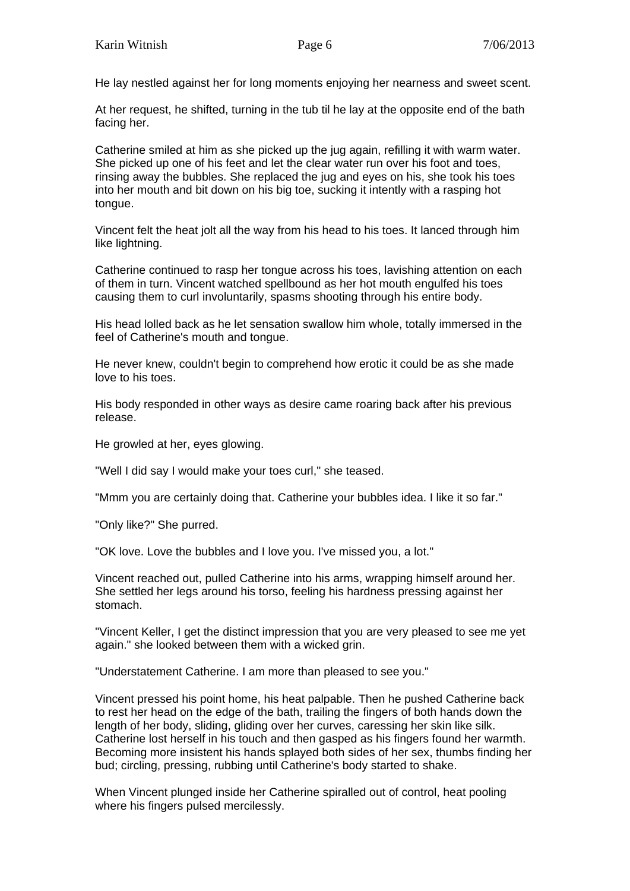He lay nestled against her for long moments enjoying her nearness and sweet scent.

At her request, he shifted, turning in the tub til he lay at the opposite end of the bath facing her.

Catherine smiled at him as she picked up the jug again, refilling it with warm water. She picked up one of his feet and let the clear water run over his foot and toes, rinsing away the bubbles. She replaced the jug and eyes on his, she took his toes into her mouth and bit down on his big toe, sucking it intently with a rasping hot tongue.

Vincent felt the heat jolt all the way from his head to his toes. It lanced through him like lightning.

Catherine continued to rasp her tongue across his toes, lavishing attention on each of them in turn. Vincent watched spellbound as her hot mouth engulfed his toes causing them to curl involuntarily, spasms shooting through his entire body.

His head lolled back as he let sensation swallow him whole, totally immersed in the feel of Catherine's mouth and tongue.

He never knew, couldn't begin to comprehend how erotic it could be as she made love to his toes.

His body responded in other ways as desire came roaring back after his previous release.

He growled at her, eyes glowing.

"Well I did say I would make your toes curl," she teased.

"Mmm you are certainly doing that. Catherine your bubbles idea. I like it so far."

"Only like?" She purred.

"OK love. Love the bubbles and I love you. I've missed you, a lot."

Vincent reached out, pulled Catherine into his arms, wrapping himself around her. She settled her legs around his torso, feeling his hardness pressing against her stomach.

"Vincent Keller, I get the distinct impression that you are very pleased to see me yet again." she looked between them with a wicked grin.

"Understatement Catherine. I am more than pleased to see you."

Vincent pressed his point home, his heat palpable. Then he pushed Catherine back to rest her head on the edge of the bath, trailing the fingers of both hands down the length of her body, sliding, gliding over her curves, caressing her skin like silk. Catherine lost herself in his touch and then gasped as his fingers found her warmth. Becoming more insistent his hands splayed both sides of her sex, thumbs finding her bud; circling, pressing, rubbing until Catherine's body started to shake.

When Vincent plunged inside her Catherine spiralled out of control, heat pooling where his fingers pulsed mercilessly.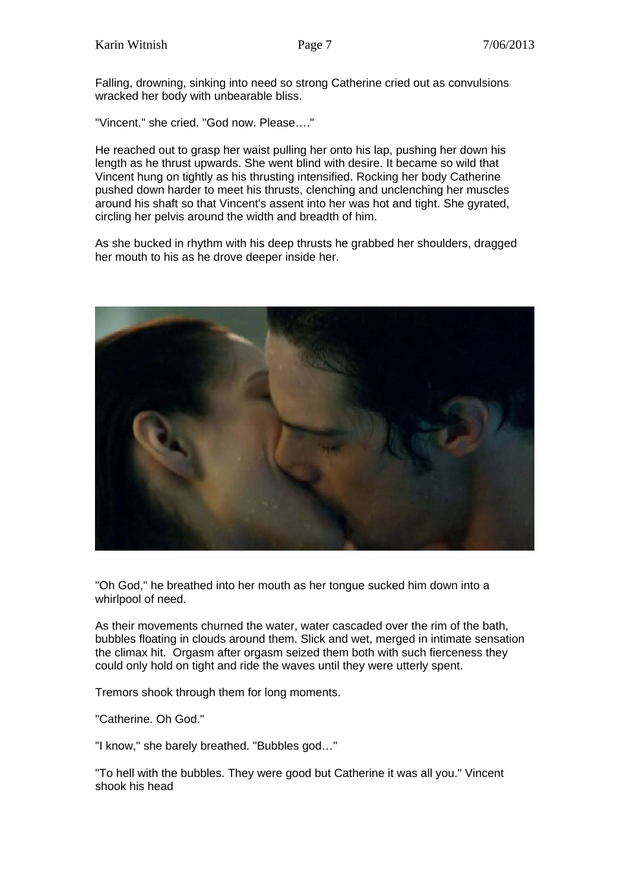Falling, drowning, sinking into need so strong Catherine cried out as convulsions wracked her body with unbearable bliss.

"Vincent." she cried. "God now. Please…."

He reached out to grasp her waist pulling her onto his lap, pushing her down his length as he thrust upwards. She went blind with desire. It became so wild that Vincent hung on tightly as his thrusting intensified. Rocking her body Catherine pushed down harder to meet his thrusts, clenching and unclenching her muscles around his shaft so that Vincent's assent into her was hot and tight. She gyrated, circling her pelvis around the width and breadth of him.

As she bucked in rhythm with his deep thrusts he grabbed her shoulders, dragged her mouth to his as he drove deeper inside her.



"Oh God," he breathed into her mouth as her tongue sucked him down into a whirlpool of need.

As their movements churned the water, water cascaded over the rim of the bath, bubbles floating in clouds around them. Slick and wet, merged in intimate sensation the climax hit. Orgasm after orgasm seized them both with such fierceness they could only hold on tight and ride the waves until they were utterly spent.

Tremors shook through them for long moments.

"Catherine. Oh God."

"I know," she barely breathed. "Bubbles god…"

"To hell with the bubbles. They were good but Catherine it was all you." Vincent shook his head